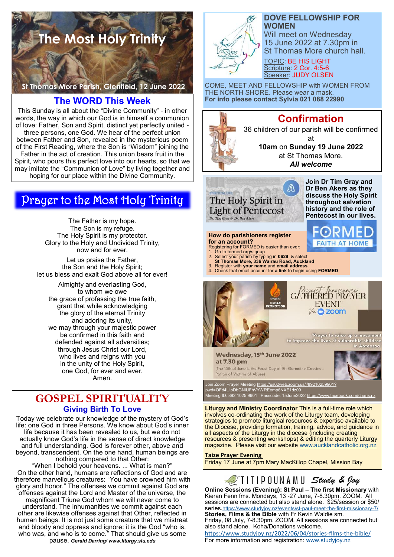

**St Thomas More Parish, Glenfield, 12 June 2022** 

## **The WORD This Week**

This Sunday is all about the "Divine Community" - in other words, the way in which our God is in himself a communion of love: Father, Son and Spirit, distinct yet perfectly united three persons, one God. We hear of the perfect union between Father and Son, revealed in the mysterious poem of the First Reading, where the Son is "Wisdom" joining the Father in the act of creation. This union bears fruit in the Spirit, who pours this perfect love into our hearts, so that we may imitate the "Communion of Love" by living together and hoping for our place within the Divine Community.

# Prayer to the Most Holy Trinity

The Father is my hope. The Son is my refuge. The Holy Spirit is my protector. Glory to the Holy and Undivided Trinity, now and for ever.

Let us praise the Father, the Son and the Holy Spirit; let us bless and exalt God above all for ever!

Almighty and everlasting God, to whom we owe the grace of professing the true faith, grant that while acknowledging the glory of the eternal Trinity and adoring its unity, we may through your majestic power be confirmed in this faith and defended against all adversities; through Jesus Christ our Lord, who lives and reigns with you in the unity of the Holy Spirit, one God, for ever and ever. Amen.

# **GOSPEL SPIRITUALITY Giving Birth To Love**

Today we celebrate our knowledge of the mystery of God's life: one God in three Persons. We know about God's inner life because it has been revealed to us, but we do not actually know God's life in the sense of direct knowledge and full understanding. God is forever other, above and beyond, transcendent. On the one hand, human beings are nothing compared to that Other:

"When I behold your heavens. ... What is man?" On the other hand, humans are reflections of God and are therefore marvellous creatures: "You have crowned him with glory and honor." The offenses we commit against God are offenses against the Lord and Master of the universe, the magnificent Triune God whom we will never come to understand. The inhumanities we commit against each other are likewise offenses against that Other, reflected in human beings. It is not just some creature that we mistreat and bloody and oppress and ignore: it is the God "who is,

who was, and who is to come." That should give us some pause. *Gerald Darring/ www.liturgy.slu.edu*

Æt

### **DOVE FELLOWSHIP FOR WOMEN**

Will meet on Wednesday 15 June 2022 at 7.30pm in St Thomas More church hall.

TOPIC: BE HIS LIGHT Scripture: 2 Cor. 4:5-6 Speaker: JUDY OLSEN

COME, MEET AND FELLOWSHIP with WOMEN FROM THE NORTH SHORE. Please wear a mask. **For info please contact Sylvia 021 088 22990**



# **Confirmation**

36 children of our parish will be confirmed at **10am** on **Sunday 19 June 2022** 

at St Thomas More.

*All welcome*



**Join Dr Tim Gray and Dr Ben Akers as they discuss the Holy Spirit throughout salvation history and the role of Pentecost in our lives.**

**FAITH AT HOME** 

#### **How do parishioners register for an account?** Registering for FORMED is easier than ever:

- 
- 1. Go to formed.org/signup 2. Select your parish by typing in **0629** & select **St Thomas More, 336 Wairau Road, Auckland**
- 
- 3. Register with **your name** and **email address**. 4. Check that email account for **a link** to begin using **FORMED**



Wednesday, 15<sup>th</sup> June 2022 at 7.30 pm (The 15th of June is the Feast Day of St. Germaine Cousins Patron of Victims of Abuse)



n Zoom Prayer Meeting <u>https://us02web.zoom.us/j/89210259901?</u> [pwd=OFd4UlpDbGNlUFhVYWREemp6NXE1dz09](https://us02web.zoom.us/j/89210259901?pwd=OFd4UlpDbGNlUFhVYWREemp6NXE1dz09) ting ID: 892 1025 9901 Passcode: 15June2022 https://www.faceb

**Liturgy and Ministry Coordinator** This is a full-time role which involves co-ordinating the work of the Liturgy team, developing strategies to promote liturgical resources & expertise available to the Diocese, providing formation, training, advice, and guidance in all aspects of the Liturgy in the diocese (including creating resources & presenting workshops) & editing the quarterly Liturgy magazine. Please visit our website [www.aucklandcatholic.org.nz](http://www.aucklandcatholic.org.nz)

**Taize Prayer Evening**

Friday 17 June at 7pm Mary MacKillop Chapel, Mission Bay



**Online Sessions (Evening): St Paul – The first Missionary** with Kieran Fenn fms. Mondays, 13 -27 June, 7-8.30pm. ZOOM. All sessions are connected but also stand alone. \$25/session or \$50/ series.<https://www.studyjoy.nz/events/st-paul-meet-the-first-missionary-7/> **Stories, Films & the Bible** with Fr Kevin Waldie sm. Friday, 08 July, 7-8.30pm. ZOOM. All sessions are connected but also stand alone. Koha/Donations welcome. [https://www.studyjoy.nz/2022/06/04/stories](https://www.studyjoy.nz/2022/06/04/stories-films-the-bible/)-films-the-bible/ For more information and registration: [www.studyjoy.nz](http://www.studyjoy.nz/)